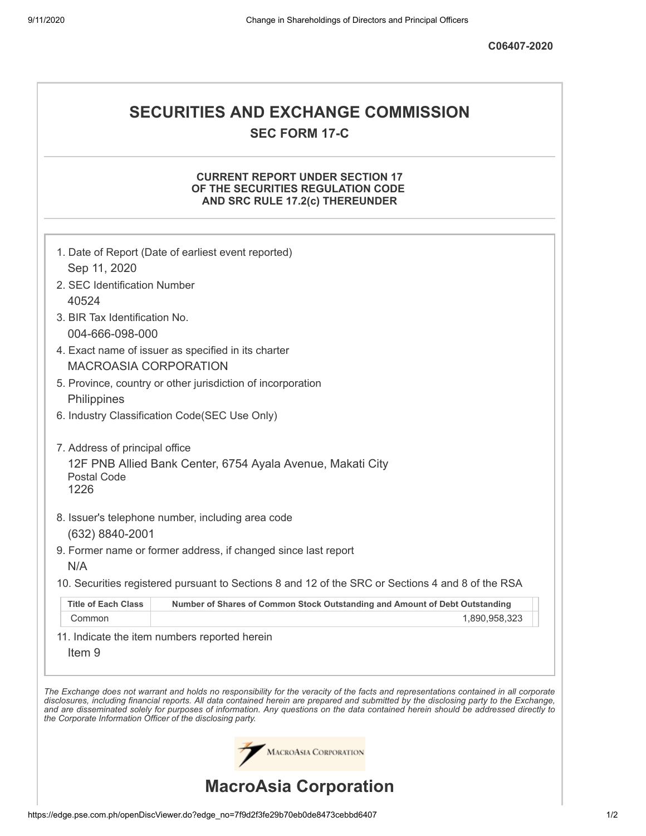# **SECURITIES AND EXCHANGE COMMISSION SEC FORM 17-C**

## **CURRENT REPORT UNDER SECTION 17 OF THE SECURITIES REGULATION CODE AND SRC RULE 17.2(c) THEREUNDER**

|                                                            | 1. Date of Report (Date of earliest event reported)                                                                                                                                                                                                                                                                                                                                                                      |
|------------------------------------------------------------|--------------------------------------------------------------------------------------------------------------------------------------------------------------------------------------------------------------------------------------------------------------------------------------------------------------------------------------------------------------------------------------------------------------------------|
| Sep 11, 2020                                               |                                                                                                                                                                                                                                                                                                                                                                                                                          |
| 2. SEC Identification Number                               |                                                                                                                                                                                                                                                                                                                                                                                                                          |
| 40524                                                      |                                                                                                                                                                                                                                                                                                                                                                                                                          |
| 3. BIR Tax Identification No.                              |                                                                                                                                                                                                                                                                                                                                                                                                                          |
| 004-666-098-000                                            |                                                                                                                                                                                                                                                                                                                                                                                                                          |
|                                                            | 4. Exact name of issuer as specified in its charter                                                                                                                                                                                                                                                                                                                                                                      |
| <b>MACROASIA CORPORATION</b>                               |                                                                                                                                                                                                                                                                                                                                                                                                                          |
|                                                            | 5. Province, country or other jurisdiction of incorporation                                                                                                                                                                                                                                                                                                                                                              |
| Philippines                                                |                                                                                                                                                                                                                                                                                                                                                                                                                          |
|                                                            | 6. Industry Classification Code(SEC Use Only)                                                                                                                                                                                                                                                                                                                                                                            |
| 7. Address of principal office                             |                                                                                                                                                                                                                                                                                                                                                                                                                          |
| Postal Code<br>1226                                        | 12F PNB Allied Bank Center, 6754 Ayala Avenue, Makati City                                                                                                                                                                                                                                                                                                                                                               |
|                                                            |                                                                                                                                                                                                                                                                                                                                                                                                                          |
|                                                            | 8. Issuer's telephone number, including area code                                                                                                                                                                                                                                                                                                                                                                        |
| (632) 8840-2001                                            |                                                                                                                                                                                                                                                                                                                                                                                                                          |
|                                                            | 9. Former name or former address, if changed since last report                                                                                                                                                                                                                                                                                                                                                           |
| N/A                                                        |                                                                                                                                                                                                                                                                                                                                                                                                                          |
|                                                            | 10. Securities registered pursuant to Sections 8 and 12 of the SRC or Sections 4 and 8 of the RSA                                                                                                                                                                                                                                                                                                                        |
| <b>Title of Each Class</b>                                 | Number of Shares of Common Stock Outstanding and Amount of Debt Outstanding                                                                                                                                                                                                                                                                                                                                              |
| Common                                                     | 1,890,958,323                                                                                                                                                                                                                                                                                                                                                                                                            |
| Item <sub>9</sub>                                          | 11. Indicate the item numbers reported herein                                                                                                                                                                                                                                                                                                                                                                            |
| the Corporate Information Officer of the disclosing party. | The Exchange does not warrant and holds no responsibility for the veracity of the facts and representations contained in all corporate<br>disclosures, including financial reports. All data contained herein are prepared and submitted by the disclosing party to the Exchange,<br>and are disseminated solely for purposes of information. Any questions on the data contained herein should be addressed directly to |
|                                                            | MACROASIA CORPORATION                                                                                                                                                                                                                                                                                                                                                                                                    |
|                                                            | <b>MacroAsia Corporation</b>                                                                                                                                                                                                                                                                                                                                                                                             |